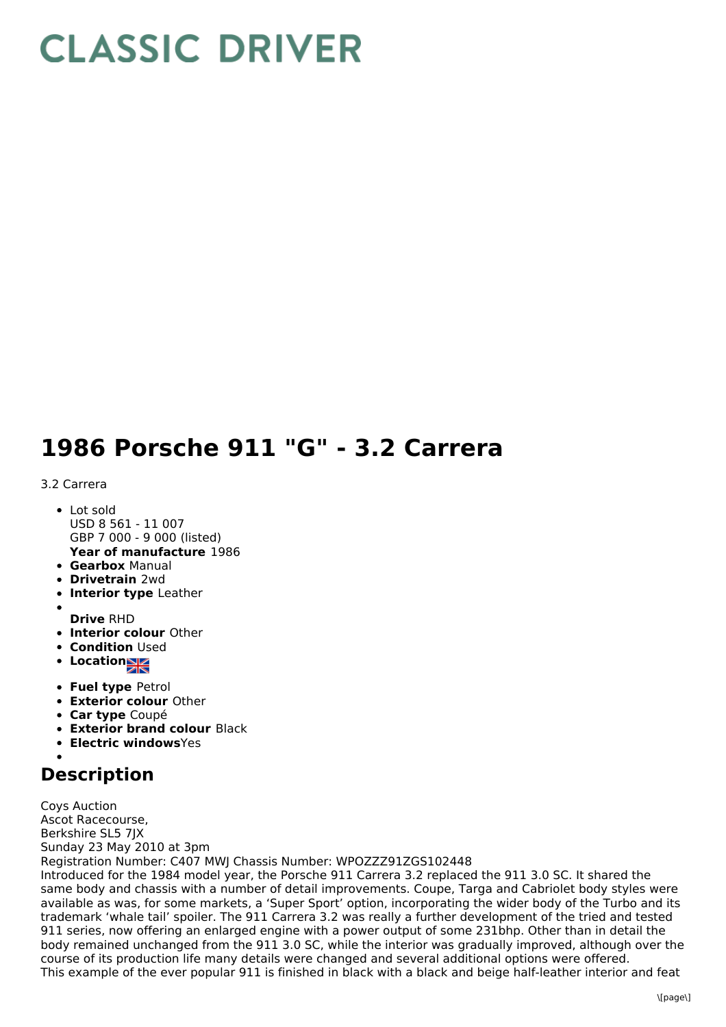## **CLASSIC DRIVER**

## **1986 Porsche 911 "G" - 3.2 Carrera**

## 3.2 Carrera

- Lot sold USD 8 561 - 11 007 GBP 7 000 - 9 000 (listed)
- **Year of manufacture** 1986 **Gearbox** Manual
- **Drivetrain** 2wd
- **Interior type** Leather
- 
- **Drive** RHD
- **Interior colour** Other
- **Condition Used**
- Location<sub>al</sub>
- **Fuel type** Petrol
- **Exterior colour** Other
- **Car type** Coupé
- **Exterior brand colour** Black
- **Electric windows**Yes

## **Description**

Coys Auction Ascot Racecourse, Berkshire SL5 7JX Sunday 23 May 2010 at 3pm Registration Number: C407 MWJ Chassis Number: WPOZZZ91ZGS102448 Introduced for the 1984 model year, the Porsche 911 Carrera 3.2 replaced the 911 3.0 SC. It shared the same body and chassis with a number of detail improvements. Coupe, Targa and Cabriolet body styles were available as was, for some markets, a 'Super Sport' option, incorporating the wider body of the Turbo and its trademark 'whale tail' spoiler. The 911 Carrera 3.2 was really a further development of the tried and tested 911 series, now offering an enlarged engine with a power output of some 231bhp. Other than in detail the body remained unchanged from the 911 3.0 SC, while the interior was gradually improved, although over the course of its production life many details were changed and several additional options were offered. This example of the ever popular 911 is finished in black with a black and beige half-leather interior and feat